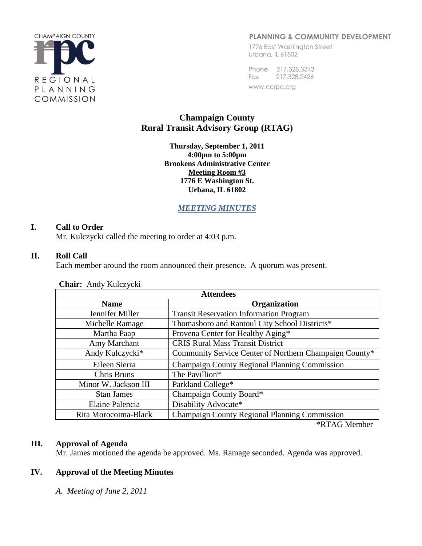

## PLANNING & COMMUNITY DEVELOPMENT

1776 East Washington Street Urbana, IL 61802

Phone 217.328.3313 Fax 217.328.2426 www.ccrpc.org

# **Champaign County Rural Transit Advisory Group (RTAG)**

**Thursday, September 1, 2011 4:00pm to 5:00pm Brookens Administrative Center Meeting Room #3 1776 E Washington St. Urbana, IL 61802**

*MEETING MINUTES*

## **I. Call to Order**

Mr. Kulczycki called the meeting to order at 4:03 p.m.

### **II. Roll Call**

Each member around the room announced their presence. A quorum was present.

| <b>Attendees</b>     |                                                        |
|----------------------|--------------------------------------------------------|
| <b>Name</b>          | <b>Organization</b>                                    |
| Jennifer Miller      | <b>Transit Reservation Information Program</b>         |
| Michelle Ramage      | Thomasboro and Rantoul City School Districts*          |
| Martha Paap          | Provena Center for Healthy Aging*                      |
| Amy Marchant         | <b>CRIS Rural Mass Transit District</b>                |
| Andy Kulczycki*      | Community Service Center of Northern Champaign County* |
| Eileen Sierra        | Champaign County Regional Planning Commission          |
| Chris Bruns          | The Pavillion*                                         |
| Minor W. Jackson III | Parkland College*                                      |
| <b>Stan James</b>    | Champaign County Board*                                |
| Elaine Palencia      | Disability Advocate*                                   |
| Rita Morocoima-Black | <b>Champaign County Regional Planning Commission</b>   |

**Chair:** Andy Kulczycki

\*RTAG Member

### **III. Approval of Agenda**

Mr. James motioned the agenda be approved. Ms. Ramage seconded. Agenda was approved.

## **IV. Approval of the Meeting Minutes**

*A. Meeting of June 2, 2011*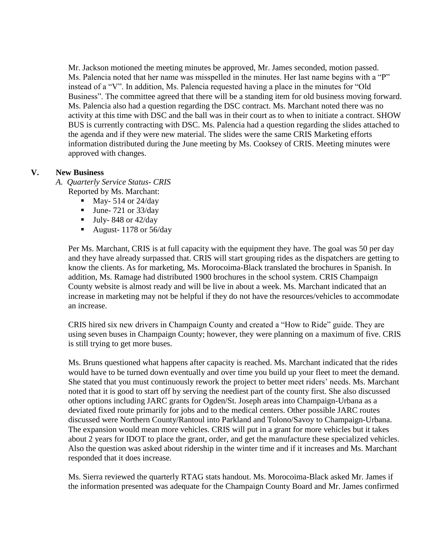Mr. Jackson motioned the meeting minutes be approved, Mr. James seconded, motion passed. Ms. Palencia noted that her name was misspelled in the minutes. Her last name begins with a "P" instead of a "V". In addition, Ms. Palencia requested having a place in the minutes for "Old Business". The committee agreed that there will be a standing item for old business moving forward. Ms. Palencia also had a question regarding the DSC contract. Ms. Marchant noted there was no activity at this time with DSC and the ball was in their court as to when to initiate a contract. SHOW BUS is currently contracting with DSC. Ms. Palencia had a question regarding the slides attached to the agenda and if they were new material. The slides were the same CRIS Marketing efforts information distributed during the June meeting by Ms. Cooksey of CRIS. Meeting minutes were approved with changes.

### **V. New Business**

*A. Quarterly Service Status- CRIS*

Reported by Ms. Marchant:

- $\blacksquare$  May- 514 or 24/day
- $\blacksquare$  June- 721 or 33/day
- $\blacksquare$  July-848 or 42/day
- August-  $1178$  or  $56/day$

Per Ms. Marchant, CRIS is at full capacity with the equipment they have. The goal was 50 per day and they have already surpassed that. CRIS will start grouping rides as the dispatchers are getting to know the clients. As for marketing, Ms. Morocoima-Black translated the brochures in Spanish. In addition, Ms. Ramage had distributed 1900 brochures in the school system. CRIS Champaign County website is almost ready and will be live in about a week. Ms. Marchant indicated that an increase in marketing may not be helpful if they do not have the resources/vehicles to accommodate an increase.

CRIS hired six new drivers in Champaign County and created a "How to Ride" guide. They are using seven buses in Champaign County; however, they were planning on a maximum of five. CRIS is still trying to get more buses.

Ms. Bruns questioned what happens after capacity is reached. Ms. Marchant indicated that the rides would have to be turned down eventually and over time you build up your fleet to meet the demand. She stated that you must continuously rework the project to better meet riders' needs. Ms. Marchant noted that it is good to start off by serving the neediest part of the county first. She also discussed other options including JARC grants for Ogden/St. Joseph areas into Champaign-Urbana as a deviated fixed route primarily for jobs and to the medical centers. Other possible JARC routes discussed were Northern County/Rantoul into Parkland and Tolono/Savoy to Champaign-Urbana. The expansion would mean more vehicles. CRIS will put in a grant for more vehicles but it takes about 2 years for IDOT to place the grant, order, and get the manufacture these specialized vehicles. Also the question was asked about ridership in the winter time and if it increases and Ms. Marchant responded that it does increase.

Ms. Sierra reviewed the quarterly RTAG stats handout. Ms. Morocoima-Black asked Mr. James if the information presented was adequate for the Champaign County Board and Mr. James confirmed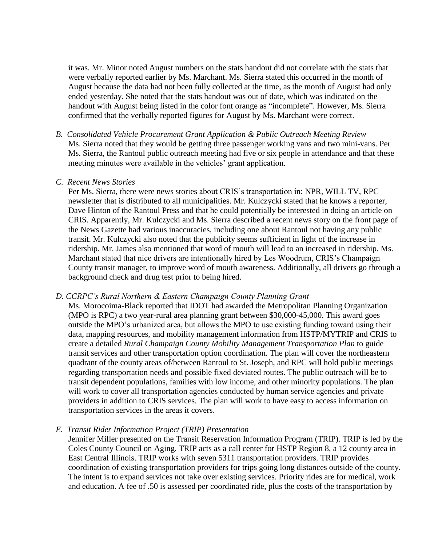it was. Mr. Minor noted August numbers on the stats handout did not correlate with the stats that were verbally reported earlier by Ms. Marchant. Ms. Sierra stated this occurred in the month of August because the data had not been fully collected at the time, as the month of August had only ended yesterday. She noted that the stats handout was out of date, which was indicated on the handout with August being listed in the color font orange as "incomplete". However, Ms. Sierra confirmed that the verbally reported figures for August by Ms. Marchant were correct.

*B. Consolidated Vehicle Procurement Grant Application & Public Outreach Meeting Review* Ms. Sierra noted that they would be getting three passenger working vans and two mini-vans. Per Ms. Sierra, the Rantoul public outreach meeting had five or six people in attendance and that these meeting minutes were available in the vehicles' grant application.

#### *C. Recent News Stories*

Per Ms. Sierra, there were news stories about CRIS's transportation in: NPR, WILL TV, RPC newsletter that is distributed to all municipalities. Mr. Kulczycki stated that he knows a reporter, Dave Hinton of the Rantoul Press and that he could potentially be interested in doing an article on CRIS. Apparently, Mr. Kulczycki and Ms. Sierra described a recent news story on the front page of the News Gazette had various inaccuracies, including one about Rantoul not having any public transit. Mr. Kulczycki also noted that the publicity seems sufficient in light of the increase in ridership. Mr. James also mentioned that word of mouth will lead to an increased in ridership. Ms. Marchant stated that nice drivers are intentionally hired by Les Woodrum, CRIS's Champaign County transit manager, to improve word of mouth awareness. Additionally, all drivers go through a background check and drug test prior to being hired.

#### *D. CCRPC's Rural Northern & Eastern Champaign County Planning Grant*

Ms. Morocoima-Black reported that IDOT had awarded the Metropolitan Planning Organization (MPO is RPC) a two year-rural area planning grant between \$30,000-45,000. This award goes outside the MPO's urbanized area, but allows the MPO to use existing funding toward using their data, mapping resources, and mobility management information from HSTP/MYTRIP and CRIS to create a detailed *Rural Champaign County Mobility Management Transportation Plan* to guide transit services and other transportation option coordination. The plan will cover the northeastern quadrant of the county areas of/between Rantoul to St. Joseph, and RPC will hold public meetings regarding transportation needs and possible fixed deviated routes. The public outreach will be to transit dependent populations, families with low income, and other minority populations. The plan will work to cover all transportation agencies conducted by human service agencies and private providers in addition to CRIS services. The plan will work to have easy to access information on transportation services in the areas it covers.

*E. Transit Rider Information Project (TRIP) Presentation*

Jennifer Miller presented on the Transit Reservation Information Program (TRIP). TRIP is led by the Coles County Council on Aging. TRIP acts as a call center for HSTP Region 8, a 12 county area in East Central Illinois. TRIP works with seven 5311 transportation providers. TRIP provides coordination of existing transportation providers for trips going long distances outside of the county. The intent is to expand services not take over existing services. Priority rides are for medical, work and education. A fee of .50 is assessed per coordinated ride, plus the costs of the transportation by